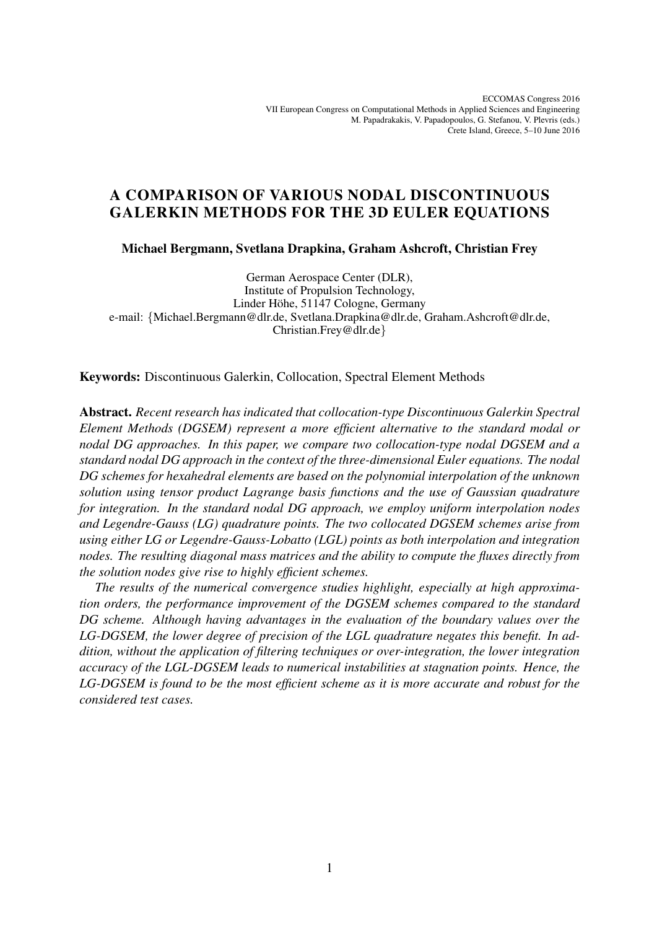ECCOMAS Congress 2016 VII European Congress on Computational Methods in Applied Sciences and Engineering M. Papadrakakis, V. Papadopoulos, G. Stefanou, V. Plevris (eds.) Crete Island, Greece, 5–10 June 2016

# A COMPARISON OF VARIOUS NODAL DISCONTINUOUS GALERKIN METHODS FOR THE 3D EULER EQUATIONS

Michael Bergmann, Svetlana Drapkina, Graham Ashcroft, Christian Frey

German Aerospace Center (DLR), Institute of Propulsion Technology, Linder Höhe, 51147 Cologne, Germany e-mail: {Michael.Bergmann@dlr.de, Svetlana.Drapkina@dlr.de, Graham.Ashcroft@dlr.de, Christian.Frey@dlr.de}

Keywords: Discontinuous Galerkin, Collocation, Spectral Element Methods

Abstract. *Recent research has indicated that collocation-type Discontinuous Galerkin Spectral Element Methods (DGSEM) represent a more efficient alternative to the standard modal or nodal DG approaches. In this paper, we compare two collocation-type nodal DGSEM and a standard nodal DG approach in the context of the three-dimensional Euler equations. The nodal DG schemes for hexahedral elements are based on the polynomial interpolation of the unknown solution using tensor product Lagrange basis functions and the use of Gaussian quadrature for integration. In the standard nodal DG approach, we employ uniform interpolation nodes and Legendre-Gauss (LG) quadrature points. The two collocated DGSEM schemes arise from using either LG or Legendre-Gauss-Lobatto (LGL) points as both interpolation and integration nodes. The resulting diagonal mass matrices and the ability to compute the fluxes directly from the solution nodes give rise to highly efficient schemes.*

*The results of the numerical convergence studies highlight, especially at high approximation orders, the performance improvement of the DGSEM schemes compared to the standard DG scheme. Although having advantages in the evaluation of the boundary values over the LG-DGSEM, the lower degree of precision of the LGL quadrature negates this benefit. In addition, without the application of filtering techniques or over-integration, the lower integration accuracy of the LGL-DGSEM leads to numerical instabilities at stagnation points. Hence, the LG-DGSEM is found to be the most efficient scheme as it is more accurate and robust for the considered test cases.*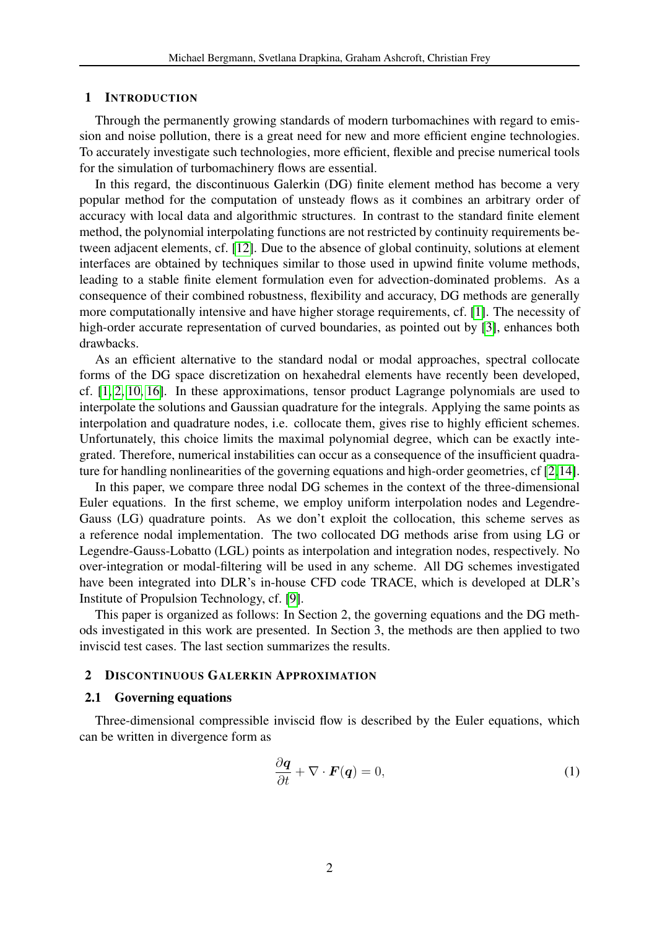### 1 INTRODUCTION

Through the permanently growing standards of modern turbomachines with regard to emission and noise pollution, there is a great need for new and more efficient engine technologies. To accurately investigate such technologies, more efficient, flexible and precise numerical tools for the simulation of turbomachinery flows are essential.

In this regard, the discontinuous Galerkin (DG) finite element method has become a very popular method for the computation of unsteady flows as it combines an arbitrary order of accuracy with local data and algorithmic structures. In contrast to the standard finite element method, the polynomial interpolating functions are not restricted by continuity requirements between adjacent elements, cf. [\[12\]](#page-9-0). Due to the absence of global continuity, solutions at element interfaces are obtained by techniques similar to those used in upwind finite volume methods, leading to a stable finite element formulation even for advection-dominated problems. As a consequence of their combined robustness, flexibility and accuracy, DG methods are generally more computationally intensive and have higher storage requirements, cf. [\[1\]](#page-9-1). The necessity of high-order accurate representation of curved boundaries, as pointed out by [\[3\]](#page-9-2), enhances both drawbacks.

As an efficient alternative to the standard nodal or modal approaches, spectral collocate forms of the DG space discretization on hexahedral elements have recently been developed, cf. [\[1,](#page-9-1) [2,](#page-9-3) [10,](#page-9-4) [16\]](#page-10-0). In these approximations, tensor product Lagrange polynomials are used to interpolate the solutions and Gaussian quadrature for the integrals. Applying the same points as interpolation and quadrature nodes, i.e. collocate them, gives rise to highly efficient schemes. Unfortunately, this choice limits the maximal polynomial degree, which can be exactly integrated. Therefore, numerical instabilities can occur as a consequence of the insufficient quadrature for handling nonlinearities of the governing equations and high-order geometries, cf [\[2,](#page-9-3)[14\]](#page-10-1).

In this paper, we compare three nodal DG schemes in the context of the three-dimensional Euler equations. In the first scheme, we employ uniform interpolation nodes and Legendre-Gauss (LG) quadrature points. As we don't exploit the collocation, this scheme serves as a reference nodal implementation. The two collocated DG methods arise from using LG or Legendre-Gauss-Lobatto (LGL) points as interpolation and integration nodes, respectively. No over-integration or modal-filtering will be used in any scheme. All DG schemes investigated have been integrated into DLR's in-house CFD code TRACE, which is developed at DLR's Institute of Propulsion Technology, cf. [\[9\]](#page-9-5).

This paper is organized as follows: In Section 2, the governing equations and the DG methods investigated in this work are presented. In Section 3, the methods are then applied to two inviscid test cases. The last section summarizes the results.

#### 2 DISCONTINUOUS GALERKIN APPROXIMATION

# 2.1 Governing equations

Three-dimensional compressible inviscid flow is described by the Euler equations, which can be written in divergence form as

<span id="page-1-0"></span>
$$
\frac{\partial \boldsymbol{q}}{\partial t} + \nabla \cdot \boldsymbol{F}(\boldsymbol{q}) = 0,\tag{1}
$$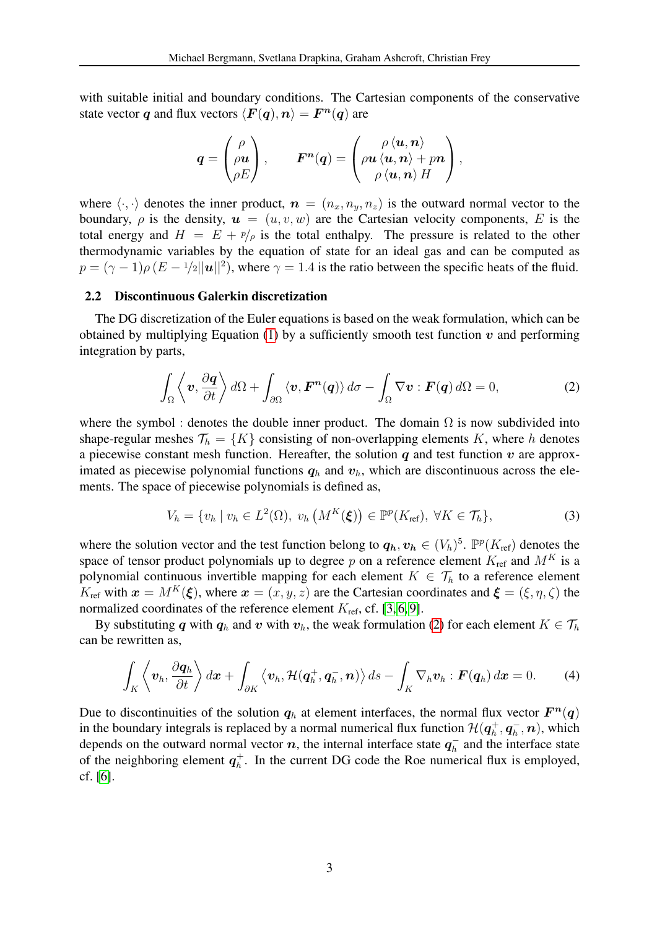with suitable initial and boundary conditions. The Cartesian components of the conservative state vector q and flux vectors  $\langle \boldsymbol{F}(\boldsymbol{q}), \boldsymbol{n} \rangle = \boldsymbol{F}^{\boldsymbol{n}}(\boldsymbol{q})$  are

$$
\boldsymbol{q} = \begin{pmatrix} \rho \\ \rho \boldsymbol{u} \\ \rho E \end{pmatrix}, \qquad \boldsymbol{F^n}(\boldsymbol{q}) = \begin{pmatrix} \rho \, \langle \boldsymbol{u}, \boldsymbol{n} \rangle \\ \rho \boldsymbol{u} \, \langle \boldsymbol{u}, \boldsymbol{n} \rangle + p \boldsymbol{n} \\ \rho \, \langle \boldsymbol{u}, \boldsymbol{n} \rangle \, H \end{pmatrix},
$$

where  $\langle \cdot, \cdot \rangle$  denotes the inner product,  $n = (n_x, n_y, n_z)$  is the outward normal vector to the boundary,  $\rho$  is the density,  $u = (u, v, w)$  are the Cartesian velocity components, E is the total energy and  $H = E + p/\rho$  is the total enthalpy. The pressure is related to the other thermodynamic variables by the equation of state for an ideal gas and can be computed as  $p = (\gamma - 1)\rho (E - 1/2 ||\mathbf{u}||^2)$ , where  $\gamma = 1.4$  is the ratio between the specific heats of the fluid.

### 2.2 Discontinuous Galerkin discretization

The DG discretization of the Euler equations is based on the weak formulation, which can be obtained by multiplying Equation [\(1\)](#page-1-0) by a sufficiently smooth test function  $v$  and performing integration by parts,

<span id="page-2-0"></span>
$$
\int_{\Omega} \left\langle \mathbf{v}, \frac{\partial \mathbf{q}}{\partial t} \right\rangle d\Omega + \int_{\partial \Omega} \left\langle \mathbf{v}, \mathbf{F}^{\mathbf{n}}(\mathbf{q}) \right\rangle d\sigma - \int_{\Omega} \nabla \mathbf{v} : \mathbf{F}(\mathbf{q}) d\Omega = 0, \tag{2}
$$

where the symbol : denotes the double inner product. The domain  $\Omega$  is now subdivided into shape-regular meshes  $\mathcal{T}_h = \{K\}$  consisting of non-overlapping elements K, where h denotes a piecewise constant mesh function. Hereafter, the solution  $q$  and test function  $v$  are approximated as piecewise polynomial functions  $q_h$  and  $v_h$ , which are discontinuous across the elements. The space of piecewise polynomials is defined as,

<span id="page-2-1"></span>
$$
V_h = \{v_h \mid v_h \in L^2(\Omega), \ v_h\left(M^K(\xi)\right) \in \mathbb{P}^p(K_{\text{ref}}), \ \forall K \in \mathcal{T}_h\},\tag{3}
$$

where the solution vector and the test function belong to  $q_h, v_h \in (V_h)^5$ .  $\mathbb{P}^p(K_{\text{ref}})$  denotes the space of tensor product polynomials up to degree p on a reference element  $K_{\text{ref}}$  and  $M^K$  is a polynomial continuous invertible mapping for each element  $K \in \mathcal{T}_h$  to a reference element  $K_{\text{ref}}$  with  $\mathbf{x} = M^K(\xi)$ , where  $\mathbf{x} = (x, y, z)$  are the Cartesian coordinates and  $\xi = (\xi, \eta, \zeta)$  the normalized coordinates of the reference element  $K_{\text{ref}}$ , cf. [\[3,](#page-9-2) [6,](#page-9-6) [9\]](#page-9-5).

By substituting q with  $q_h$  and v with  $v_h$ , the weak formulation [\(2\)](#page-2-0) for each element  $K \in \mathcal{T}_h$ can be rewritten as,

$$
\int_{K} \left\langle \boldsymbol{v}_{h}, \frac{\partial \boldsymbol{q}_{h}}{\partial t} \right\rangle d\boldsymbol{x} + \int_{\partial K} \left\langle \boldsymbol{v}_{h}, \mathcal{H}(\boldsymbol{q}_{h}^{+}, \boldsymbol{q}_{h}^{-}, \boldsymbol{n}) \right\rangle ds - \int_{K} \nabla_{h} \boldsymbol{v}_{h} : \boldsymbol{F}(\boldsymbol{q}_{h}) d\boldsymbol{x} = 0. \tag{4}
$$

Due to discontinuities of the solution  $q_h$  at element interfaces, the normal flux vector  $\mathbf{F}^n(q)$ in the boundary integrals is replaced by a normal numerical flux function  $\mathcal{H}(\boldsymbol{q}_h^+$  $q_h^+, \boldsymbol{q}_h^ \eta_h^-,\bm{n}),$  which depends on the outward normal vector n, the internal interface state  $q_h^$  $n_h^-$  and the interface state of the neighboring element  $q_h^+$  $h<sub>h</sub>$ . In the current DG code the Roe numerical flux is employed, cf. [\[6\]](#page-9-6).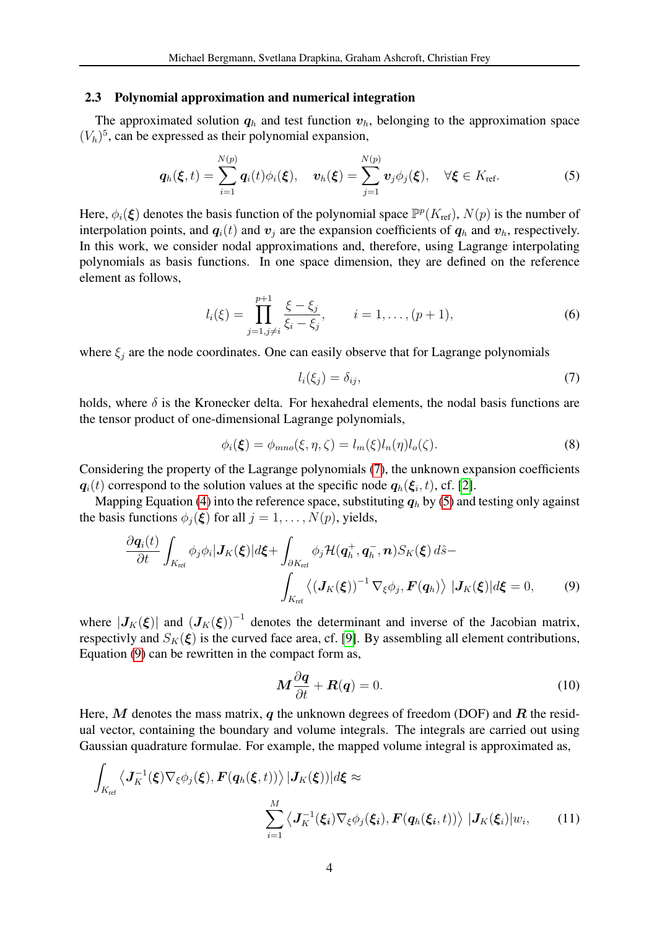#### 2.3 Polynomial approximation and numerical integration

The approximated solution  $q_h$  and test function  $v_h$ , belonging to the approximation space  $(V_h)^5$ , can be expressed as their polynomial expansion,

$$
\boldsymbol{q}_h(\boldsymbol{\xi},t)=\sum_{i=1}^{N(p)}\boldsymbol{q}_i(t)\phi_i(\boldsymbol{\xi}),\quad \boldsymbol{v}_h(\boldsymbol{\xi})=\sum_{j=1}^{N(p)}\boldsymbol{v}_j\phi_j(\boldsymbol{\xi}),\quad \forall \boldsymbol{\xi}\in K_{\text{ref}}.\tag{5}
$$

Here,  $\phi_i(\xi)$  denotes the basis function of the polynomial space  $\mathbb{P}^p(K_{\text{ref}})$ ,  $N(p)$  is the number of interpolation points, and  $q_i(t)$  and  $v_j$  are the expansion coefficients of  $q_h$  and  $v_h$ , respectively. In this work, we consider nodal approximations and, therefore, using Lagrange interpolating polynomials as basis functions. In one space dimension, they are defined on the reference element as follows,

$$
l_i(\xi) = \prod_{j=1, j \neq i}^{p+1} \frac{\xi - \xi_j}{\xi_i - \xi_j}, \qquad i = 1, \dots, (p+1), \tag{6}
$$

where  $\xi_i$  are the node coordinates. One can easily observe that for Lagrange polynomials

<span id="page-3-1"></span><span id="page-3-0"></span>
$$
l_i(\xi_j) = \delta_{ij},\tag{7}
$$

holds, where  $\delta$  is the Kronecker delta. For hexahedral elements, the nodal basis functions are the tensor product of one-dimensional Lagrange polynomials,

$$
\phi_i(\xi) = \phi_{mno}(\xi, \eta, \zeta) = l_m(\xi)l_n(\eta)l_o(\zeta). \tag{8}
$$

Considering the property of the Lagrange polynomials [\(7\)](#page-3-0), the unknown expansion coefficients  $q_i(t)$  correspond to the solution values at the specific node  $q_h(\xi_i, t)$ , cf. [\[2\]](#page-9-3).

Mapping Equation [\(4\)](#page-2-1) into the reference space, substituting  $q_h$  by [\(5\)](#page-3-1) and testing only against the basis functions  $\phi_i(\xi)$  for all  $j = 1, \ldots, N(p)$ , yields,

$$
\frac{\partial \boldsymbol{q}_{i}(t)}{\partial t} \int_{K_{\text{ref}}} \phi_{j} \phi_{i} | \boldsymbol{J}_{K}(\boldsymbol{\xi})| d\boldsymbol{\xi} + \int_{\partial K_{\text{ref}}} \phi_{j} \mathcal{H}(\boldsymbol{q}_{h}^{+}, \boldsymbol{q}_{h}^{-}, \boldsymbol{n}) S_{K}(\boldsymbol{\xi}) d\hat{s} - \int_{K_{\text{ref}}} \left\langle (\boldsymbol{J}_{K}(\boldsymbol{\xi}))^{-1} \nabla_{\boldsymbol{\xi}} \phi_{j}, \boldsymbol{F}(\boldsymbol{q}_{h}) \right\rangle | \boldsymbol{J}_{K}(\boldsymbol{\xi})| d\boldsymbol{\xi} = 0, \qquad (9)
$$

where  $|J_K(\xi)|$  and  $(J_K(\xi))^{-1}$  denotes the determinant and inverse of the Jacobian matrix, respectivly and  $S_K(\xi)$  is the curved face area, cf. [\[9\]](#page-9-5). By assembling all element contributions, Equation [\(9\)](#page-3-2) can be rewritten in the compact form as,

<span id="page-3-3"></span><span id="page-3-2"></span>
$$
M\frac{\partial q}{\partial t} + R(q) = 0.
$$
 (10)

Here, M denotes the mass matrix, q the unknown degrees of freedom (DOF) and R the residual vector, containing the boundary and volume integrals. The integrals are carried out using Gaussian quadrature formulae. For example, the mapped volume integral is approximated as,

$$
\int_{K_{\text{ref}}} \left\langle \mathbf{J}_{K}^{-1}(\boldsymbol{\xi}) \nabla_{\boldsymbol{\xi}} \phi_{j}(\boldsymbol{\xi}), \mathbf{F}(\boldsymbol{q}_{h}(\boldsymbol{\xi},t)) \right\rangle |\mathbf{J}_{K}(\boldsymbol{\xi}))| d\boldsymbol{\xi} \approx
$$
\n
$$
\sum_{i=1}^{M} \left\langle \mathbf{J}_{K}^{-1}(\boldsymbol{\xi}_{i}) \nabla_{\boldsymbol{\xi}} \phi_{j}(\boldsymbol{\xi}_{i}), \mathbf{F}(\boldsymbol{q}_{h}(\boldsymbol{\xi}_{i},t)) \right\rangle |\mathbf{J}_{K}(\boldsymbol{\xi}_{i})| w_{i}, \qquad (11)
$$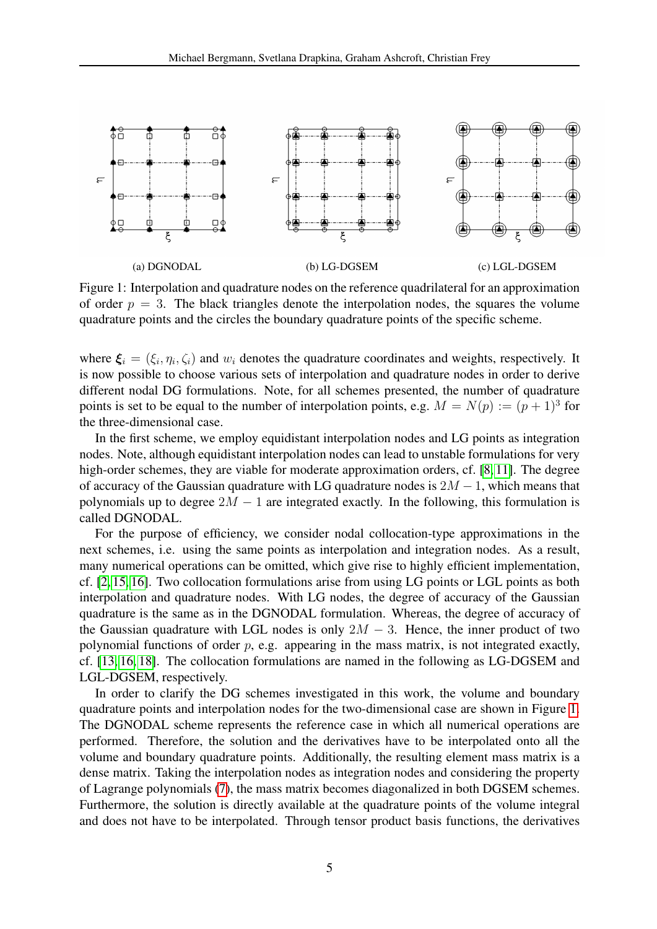<span id="page-4-0"></span>

<span id="page-4-2"></span><span id="page-4-1"></span>Figure 1: Interpolation and quadrature nodes on the reference quadrilateral for an approximation of order  $p = 3$ . The black triangles denote the interpolation nodes, the squares the volume quadrature points and the circles the boundary quadrature points of the specific scheme.

where  $\xi_i = (\xi_i, \eta_i, \zeta_i)$  and  $w_i$  denotes the quadrature coordinates and weights, respectively. It is now possible to choose various sets of interpolation and quadrature nodes in order to derive different nodal DG formulations. Note, for all schemes presented, the number of quadrature points is set to be equal to the number of interpolation points, e.g.  $M = N(p) := (p+1)^3$  for the three-dimensional case.

In the first scheme, we employ equidistant interpolation nodes and LG points as integration nodes. Note, although equidistant interpolation nodes can lead to unstable formulations for very high-order schemes, they are viable for moderate approximation orders, cf. [\[8,](#page-9-7) [11\]](#page-9-8). The degree of accuracy of the Gaussian quadrature with LG quadrature nodes is  $2M - 1$ , which means that polynomials up to degree  $2M - 1$  are integrated exactly. In the following, this formulation is called DGNODAL.

For the purpose of efficiency, we consider nodal collocation-type approximations in the next schemes, i.e. using the same points as interpolation and integration nodes. As a result, many numerical operations can be omitted, which give rise to highly efficient implementation, cf. [\[2,](#page-9-3) [15,](#page-10-2) [16\]](#page-10-0). Two collocation formulations arise from using LG points or LGL points as both interpolation and quadrature nodes. With LG nodes, the degree of accuracy of the Gaussian quadrature is the same as in the DGNODAL formulation. Whereas, the degree of accuracy of the Gaussian quadrature with LGL nodes is only  $2M - 3$ . Hence, the inner product of two polynomial functions of order  $p$ , e.g. appearing in the mass matrix, is not integrated exactly, cf. [\[13,](#page-9-9) [16,](#page-10-0) [18\]](#page-10-3). The collocation formulations are named in the following as LG-DGSEM and LGL-DGSEM, respectively.

In order to clarify the DG schemes investigated in this work, the volume and boundary quadrature points and interpolation nodes for the two-dimensional case are shown in Figure [1.](#page-4-0) The DGNODAL scheme represents the reference case in which all numerical operations are performed. Therefore, the solution and the derivatives have to be interpolated onto all the volume and boundary quadrature points. Additionally, the resulting element mass matrix is a dense matrix. Taking the interpolation nodes as integration nodes and considering the property of Lagrange polynomials [\(7\)](#page-3-0), the mass matrix becomes diagonalized in both DGSEM schemes. Furthermore, the solution is directly available at the quadrature points of the volume integral and does not have to be interpolated. Through tensor product basis functions, the derivatives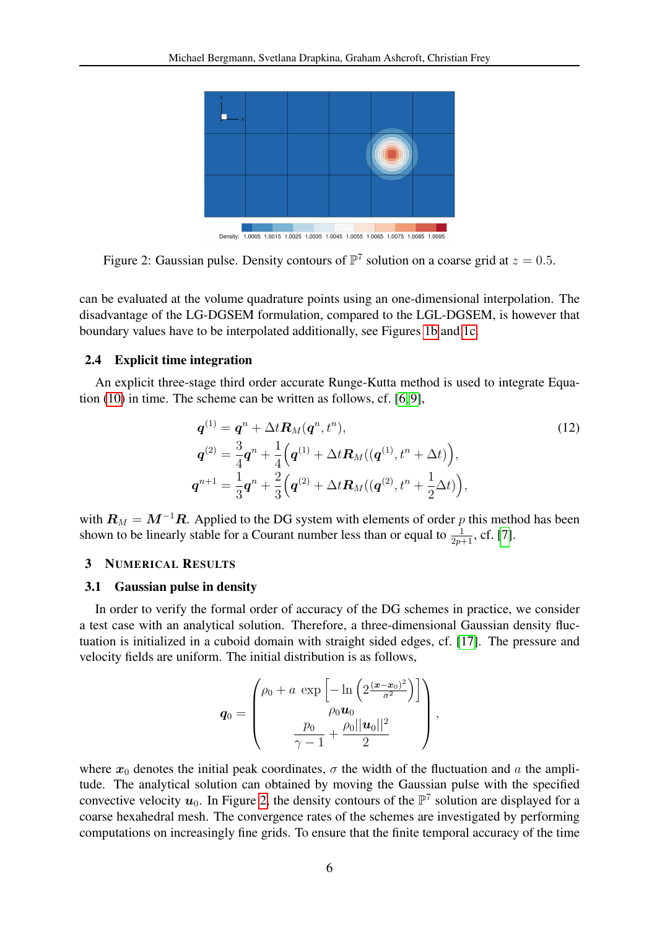<span id="page-5-0"></span>

Density: 1.0005 1.0015 1.0025 1.0035 1.0045 1.0055 1.0065 1.0075 1.0085 1.0095

Figure 2: Gaussian pulse. Density contours of  $\mathbb{P}^7$  solution on a coarse grid at  $z = 0.5$ .

can be evaluated at the volume quadrature points using an one-dimensional interpolation. The disadvantage of the LG-DGSEM formulation, compared to the LGL-DGSEM, is however that boundary values have to be interpolated additionally, see Figures [1b](#page-4-1) and [1c.](#page-4-2)

# 2.4 Explicit time integration

An explicit three-stage third order accurate Runge-Kutta method is used to integrate Equation [\(10\)](#page-3-3) in time. The scheme can be written as follows, cf. [\[6,](#page-9-6) [9\]](#page-9-5),

$$
q^{(1)} = q^{n} + \Delta t \mathbf{R}_{M}(q^{n}, t^{n}),
$$
  
\n
$$
q^{(2)} = \frac{3}{4}q^{n} + \frac{1}{4}(q^{(1)} + \Delta t \mathbf{R}_{M}((q^{(1)}, t^{n} + \Delta t)),
$$
  
\n
$$
q^{n+1} = \frac{1}{3}q^{n} + \frac{2}{3}(q^{(2)} + \Delta t \mathbf{R}_{M}((q^{(2)}, t^{n} + \frac{1}{2}\Delta t)),
$$
\n(12)

with  $\mathbf{R}_M = \mathbf{M}^{-1}\mathbf{R}$ . Applied to the DG system with elements of order p this method has been shown to be linearly stable for a Courant number less than or equal to  $\frac{1}{2p+1}$ , cf. [\[7\]](#page-9-10).

### 3 NUMERICAL RESULTS

#### 3.1 Gaussian pulse in density

In order to verify the formal order of accuracy of the DG schemes in practice, we consider a test case with an analytical solution. Therefore, a three-dimensional Gaussian density fluctuation is initialized in a cuboid domain with straight sided edges, cf. [\[17\]](#page-10-4). The pressure and velocity fields are uniform. The initial distribution is as follows,

$$
\boldsymbol{q}_0 = \begin{pmatrix} \rho_0 + a & \exp\left[-\ln\left(2\frac{(\boldsymbol{x}-\boldsymbol{x}_0)^2}{\sigma^2}\right)\right] \\ \rho_0 \boldsymbol{u}_0 \\ \frac{p_0}{\gamma-1} + \frac{\rho_0||\boldsymbol{u}_0||^2}{2} \end{pmatrix},
$$

where  $x_0$  denotes the initial peak coordinates,  $\sigma$  the width of the fluctuation and a the amplitude. The analytical solution can obtained by moving the Gaussian pulse with the specified convective velocity  $u_0$ . In Figure [2,](#page-5-0) the density contours of the  $\mathbb{P}^7$  solution are displayed for a coarse hexahedral mesh. The convergence rates of the schemes are investigated by performing computations on increasingly fine grids. To ensure that the finite temporal accuracy of the time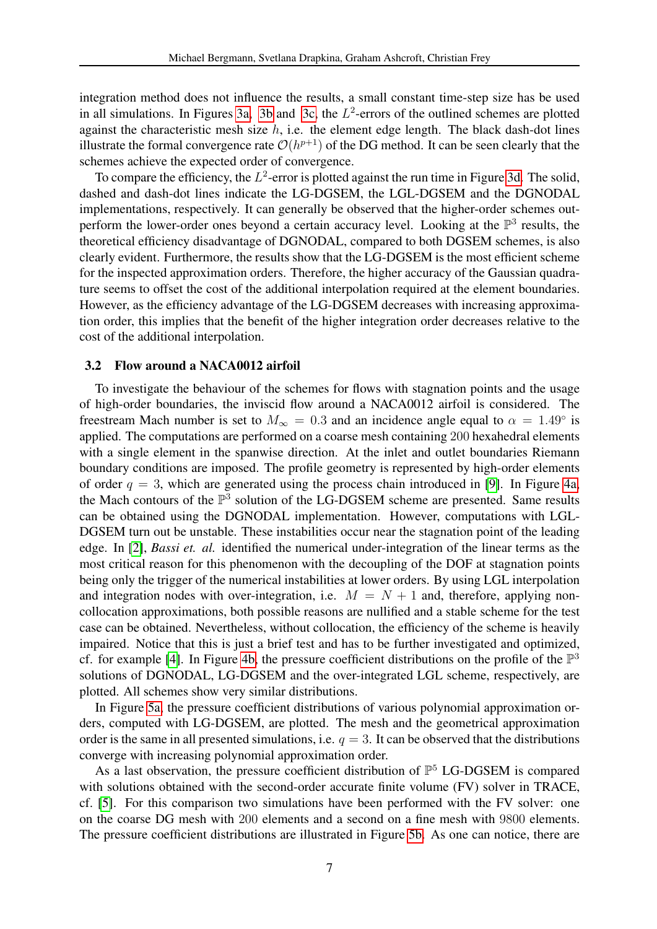integration method does not influence the results, a small constant time-step size has be used in all simulations. In Figures [3a,](#page-7-0) [3b](#page-7-1) and [3c,](#page-7-2) the  $L^2$ -errors of the outlined schemes are plotted against the characteristic mesh size  $h$ , i.e. the element edge length. The black dash-dot lines illustrate the formal convergence rate  $\mathcal{O}(h^{p+1})$  of the DG method. It can be seen clearly that the schemes achieve the expected order of convergence.

To compare the efficiency, the  $L^2$ -error is plotted against the run time in Figure [3d.](#page-7-3) The solid, dashed and dash-dot lines indicate the LG-DGSEM, the LGL-DGSEM and the DGNODAL implementations, respectively. It can generally be observed that the higher-order schemes outperform the lower-order ones beyond a certain accuracy level. Looking at the  $\mathbb{P}^3$  results, the theoretical efficiency disadvantage of DGNODAL, compared to both DGSEM schemes, is also clearly evident. Furthermore, the results show that the LG-DGSEM is the most efficient scheme for the inspected approximation orders. Therefore, the higher accuracy of the Gaussian quadrature seems to offset the cost of the additional interpolation required at the element boundaries. However, as the efficiency advantage of the LG-DGSEM decreases with increasing approximation order, this implies that the benefit of the higher integration order decreases relative to the cost of the additional interpolation.

#### 3.2 Flow around a NACA0012 airfoil

To investigate the behaviour of the schemes for flows with stagnation points and the usage of high-order boundaries, the inviscid flow around a NACA0012 airfoil is considered. The freestream Mach number is set to  $M_{\infty} = 0.3$  and an incidence angle equal to  $\alpha = 1.49^{\circ}$  is applied. The computations are performed on a coarse mesh containing 200 hexahedral elements with a single element in the spanwise direction. At the inlet and outlet boundaries Riemann boundary conditions are imposed. The profile geometry is represented by high-order elements of order  $q = 3$ , which are generated using the process chain introduced in [\[9\]](#page-9-5). In Figure [4a,](#page-8-0) the Mach contours of the  $\mathbb{P}^3$  solution of the LG-DGSEM scheme are presented. Same results can be obtained using the DGNODAL implementation. However, computations with LGL-DGSEM turn out be unstable. These instabilities occur near the stagnation point of the leading edge. In [\[2\]](#page-9-3), *Bassi et. al.* identified the numerical under-integration of the linear terms as the most critical reason for this phenomenon with the decoupling of the DOF at stagnation points being only the trigger of the numerical instabilities at lower orders. By using LGL interpolation and integration nodes with over-integration, i.e.  $M = N + 1$  and, therefore, applying noncollocation approximations, both possible reasons are nullified and a stable scheme for the test case can be obtained. Nevertheless, without collocation, the efficiency of the scheme is heavily impaired. Notice that this is just a brief test and has to be further investigated and optimized, cf. for example [\[4\]](#page-9-11). In Figure [4b,](#page-8-1) the pressure coefficient distributions on the profile of the  $\mathbb{P}^3$ solutions of DGNODAL, LG-DGSEM and the over-integrated LGL scheme, respectively, are plotted. All schemes show very similar distributions.

In Figure [5a,](#page-8-2) the pressure coefficient distributions of various polynomial approximation orders, computed with LG-DGSEM, are plotted. The mesh and the geometrical approximation order is the same in all presented simulations, i.e.  $q = 3$ . It can be observed that the distributions converge with increasing polynomial approximation order.

As a last observation, the pressure coefficient distribution of  $\mathbb{P}^5$  LG-DGSEM is compared with solutions obtained with the second-order accurate finite volume (FV) solver in TRACE, cf. [\[5\]](#page-9-12). For this comparison two simulations have been performed with the FV solver: one on the coarse DG mesh with 200 elements and a second on a fine mesh with 9800 elements. The pressure coefficient distributions are illustrated in Figure [5b.](#page-8-3) As one can notice, there are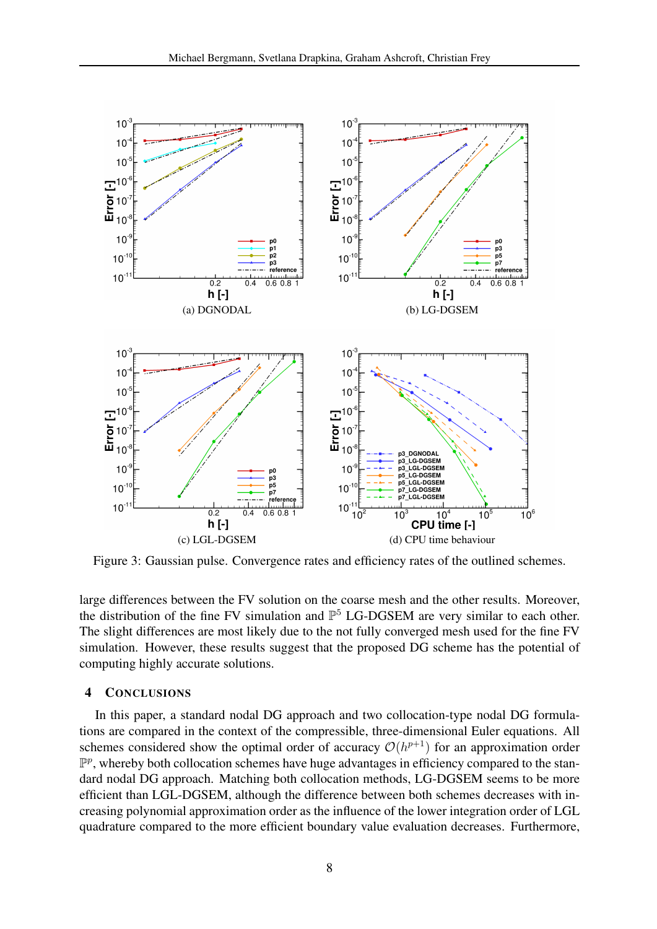<span id="page-7-2"></span><span id="page-7-1"></span><span id="page-7-0"></span>

<span id="page-7-3"></span>Figure 3: Gaussian pulse. Convergence rates and efficiency rates of the outlined schemes.

large differences between the FV solution on the coarse mesh and the other results. Moreover, the distribution of the fine FV simulation and  $\mathbb{P}^5$  LG-DGSEM are very similar to each other. The slight differences are most likely due to the not fully converged mesh used for the fine FV simulation. However, these results suggest that the proposed DG scheme has the potential of computing highly accurate solutions.

# 4 CONCLUSIONS

In this paper, a standard nodal DG approach and two collocation-type nodal DG formulations are compared in the context of the compressible, three-dimensional Euler equations. All schemes considered show the optimal order of accuracy  $\mathcal{O}(h^{p+1})$  for an approximation order  $\mathbb{P}^p$ , whereby both collocation schemes have huge advantages in efficiency compared to the standard nodal DG approach. Matching both collocation methods, LG-DGSEM seems to be more efficient than LGL-DGSEM, although the difference between both schemes decreases with increasing polynomial approximation order as the influence of the lower integration order of LGL quadrature compared to the more efficient boundary value evaluation decreases. Furthermore,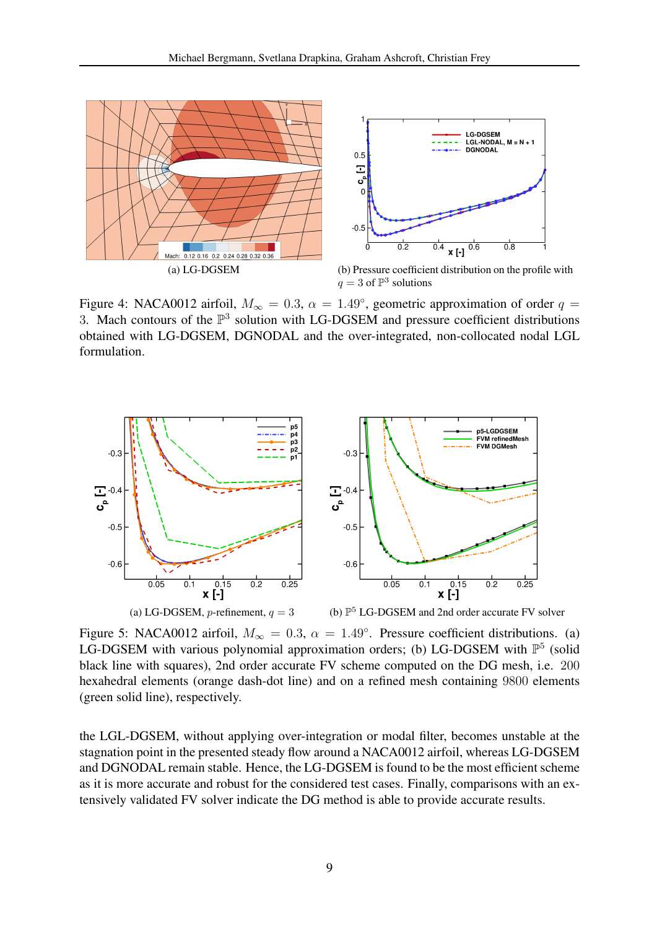<span id="page-8-0"></span>

<span id="page-8-1"></span>Figure 4: NACA0012 airfoil,  $M_{\infty} = 0.3$ ,  $\alpha = 1.49^{\circ}$ , geometric approximation of order  $q =$ 3. Mach contours of the  $\mathbb{P}^3$  solution with LG-DGSEM and pressure coefficient distributions obtained with LG-DGSEM, DGNODAL and the over-integrated, non-collocated nodal LGL formulation.

<span id="page-8-2"></span>

<span id="page-8-3"></span>Figure 5: NACA0012 airfoil,  $M_{\infty} = 0.3$ ,  $\alpha = 1.49^{\circ}$ . Pressure coefficient distributions. (a) LG-DGSEM with various polynomial approximation orders; (b) LG-DGSEM with  $\mathbb{P}^5$  (solid black line with squares), 2nd order accurate FV scheme computed on the DG mesh, i.e. 200 hexahedral elements (orange dash-dot line) and on a refined mesh containing 9800 elements (green solid line), respectively.

the LGL-DGSEM, without applying over-integration or modal filter, becomes unstable at the stagnation point in the presented steady flow around a NACA0012 airfoil, whereas LG-DGSEM and DGNODAL remain stable. Hence, the LG-DGSEM is found to be the most efficient scheme as it is more accurate and robust for the considered test cases. Finally, comparisons with an extensively validated FV solver indicate the DG method is able to provide accurate results.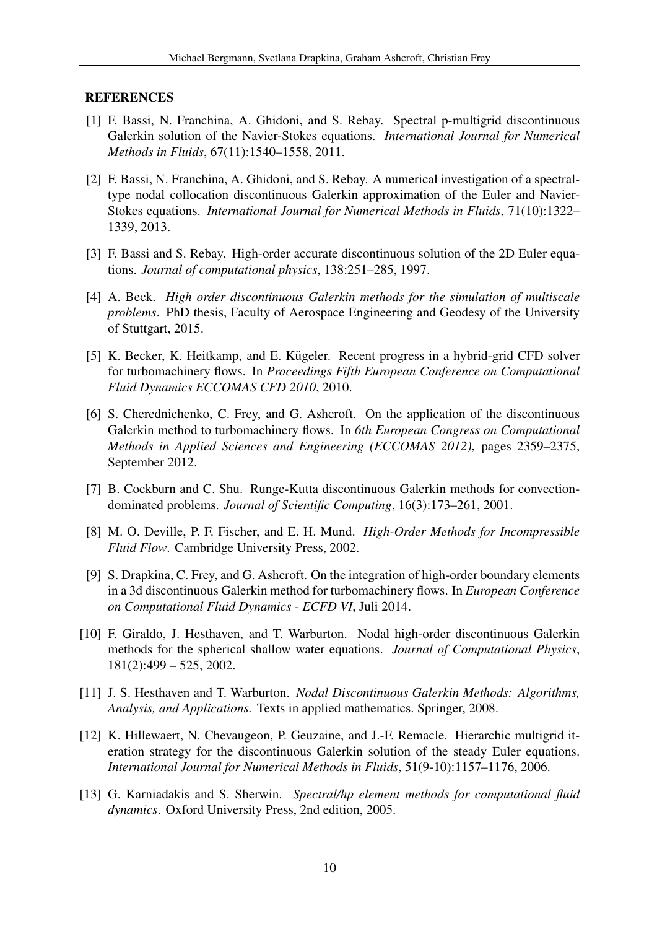# **REFERENCES**

- <span id="page-9-1"></span>[1] F. Bassi, N. Franchina, A. Ghidoni, and S. Rebay. Spectral p-multigrid discontinuous Galerkin solution of the Navier-Stokes equations. *International Journal for Numerical Methods in Fluids*, 67(11):1540–1558, 2011.
- <span id="page-9-3"></span>[2] F. Bassi, N. Franchina, A. Ghidoni, and S. Rebay. A numerical investigation of a spectraltype nodal collocation discontinuous Galerkin approximation of the Euler and Navier-Stokes equations. *International Journal for Numerical Methods in Fluids*, 71(10):1322– 1339, 2013.
- <span id="page-9-2"></span>[3] F. Bassi and S. Rebay. High-order accurate discontinuous solution of the 2D Euler equations. *Journal of computational physics*, 138:251–285, 1997.
- <span id="page-9-11"></span>[4] A. Beck. *High order discontinuous Galerkin methods for the simulation of multiscale problems*. PhD thesis, Faculty of Aerospace Engineering and Geodesy of the University of Stuttgart, 2015.
- <span id="page-9-12"></span>[5] K. Becker, K. Heitkamp, and E. Kügeler. Recent progress in a hybrid-grid CFD solver for turbomachinery flows. In *Proceedings Fifth European Conference on Computational Fluid Dynamics ECCOMAS CFD 2010*, 2010.
- <span id="page-9-6"></span>[6] S. Cherednichenko, C. Frey, and G. Ashcroft. On the application of the discontinuous Galerkin method to turbomachinery flows. In *6th European Congress on Computational Methods in Applied Sciences and Engineering (ECCOMAS 2012)*, pages 2359–2375, September 2012.
- <span id="page-9-10"></span>[7] B. Cockburn and C. Shu. Runge-Kutta discontinuous Galerkin methods for convectiondominated problems. *Journal of Scientific Computing*, 16(3):173–261, 2001.
- <span id="page-9-7"></span>[8] M. O. Deville, P. F. Fischer, and E. H. Mund. *High-Order Methods for Incompressible Fluid Flow*. Cambridge University Press, 2002.
- <span id="page-9-5"></span>[9] S. Drapkina, C. Frey, and G. Ashcroft. On the integration of high-order boundary elements in a 3d discontinuous Galerkin method for turbomachinery flows. In *European Conference on Computational Fluid Dynamics - ECFD VI*, Juli 2014.
- <span id="page-9-4"></span>[10] F. Giraldo, J. Hesthaven, and T. Warburton. Nodal high-order discontinuous Galerkin methods for the spherical shallow water equations. *Journal of Computational Physics*,  $181(2):499 - 525, 2002.$
- <span id="page-9-8"></span>[11] J. S. Hesthaven and T. Warburton. *Nodal Discontinuous Galerkin Methods: Algorithms, Analysis, and Applications.* Texts in applied mathematics. Springer, 2008.
- <span id="page-9-0"></span>[12] K. Hillewaert, N. Chevaugeon, P. Geuzaine, and J.-F. Remacle. Hierarchic multigrid iteration strategy for the discontinuous Galerkin solution of the steady Euler equations. *International Journal for Numerical Methods in Fluids*, 51(9-10):1157–1176, 2006.
- <span id="page-9-9"></span>[13] G. Karniadakis and S. Sherwin. *Spectral/hp element methods for computational fluid dynamics*. Oxford University Press, 2nd edition, 2005.